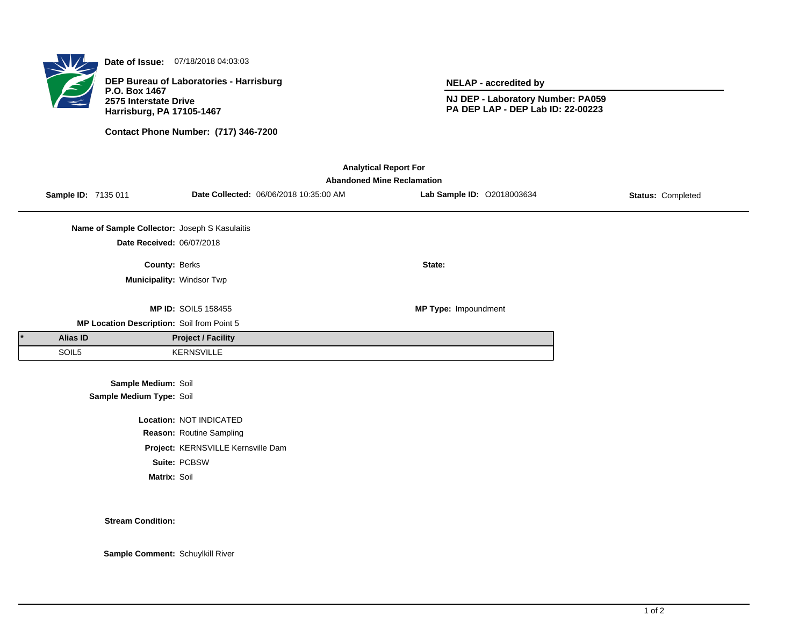

**Date of Issue:** 07/18/2018 04:03:03

**DEP Bureau of Laboratories - Harrisburg P.O. Box 1467 2575 Interstate Drive Harrisburg, PA 17105-1467**

**Contact Phone Number: (717) 346-7200**

**NELAP - accredited by**

**NJ DEP - Laboratory Number: PA059 PA DEP LAP - DEP Lab ID: 22-00223**

| <b>Analytical Report For</b><br><b>Abandoned Mine Reclamation</b> |                     |                                               |                                    |                                        |                             |                          |  |  |  |  |
|-------------------------------------------------------------------|---------------------|-----------------------------------------------|------------------------------------|----------------------------------------|-----------------------------|--------------------------|--|--|--|--|
|                                                                   | Sample ID: 7135 011 |                                               |                                    | Date Collected: 06/06/2018 10:35:00 AM | Lab Sample ID: 02018003634  | <b>Status: Completed</b> |  |  |  |  |
|                                                                   |                     | Name of Sample Collector: Joseph S Kasulaitis |                                    |                                        |                             |                          |  |  |  |  |
|                                                                   |                     | Date Received: 06/07/2018                     |                                    |                                        |                             |                          |  |  |  |  |
|                                                                   |                     | County: Berks                                 |                                    |                                        | State:                      |                          |  |  |  |  |
|                                                                   |                     | Municipality: Windsor Twp                     |                                    |                                        |                             |                          |  |  |  |  |
|                                                                   |                     |                                               | <b>MP ID: SOIL5 158455</b>         |                                        | <b>MP Type: Impoundment</b> |                          |  |  |  |  |
|                                                                   |                     | MP Location Description: Soil from Point 5    |                                    |                                        |                             |                          |  |  |  |  |
|                                                                   | Alias ID            |                                               | <b>Project / Facility</b>          |                                        |                             |                          |  |  |  |  |
|                                                                   | SOIL5               |                                               | <b>KERNSVILLE</b>                  |                                        |                             |                          |  |  |  |  |
|                                                                   |                     | Sample Medium: Soil                           |                                    |                                        |                             |                          |  |  |  |  |
|                                                                   |                     | Sample Medium Type: Soil                      |                                    |                                        |                             |                          |  |  |  |  |
|                                                                   |                     |                                               | Location: NOT INDICATED            |                                        |                             |                          |  |  |  |  |
|                                                                   |                     |                                               | Reason: Routine Sampling           |                                        |                             |                          |  |  |  |  |
|                                                                   |                     |                                               | Project: KERNSVILLE Kernsville Dam |                                        |                             |                          |  |  |  |  |

**Suite:** PCBSW

**Matrix:** Soil

**Stream Condition:**

**Sample Comment:** Schuylkill River